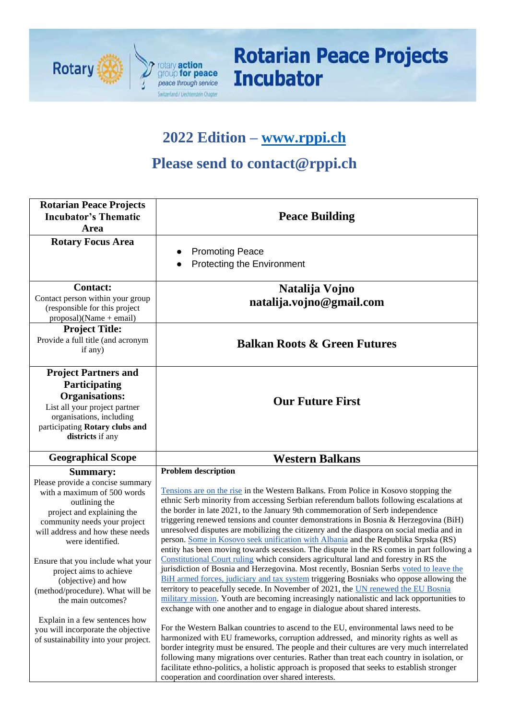

# **Rotarian Peace Projects Incubator**

## **2022 Edition – [www.rppi.ch](http://www.rppi.ch/)**

### **Please send to contact@rppi.ch**

| <b>Rotarian Peace Projects</b><br><b>Incubator's Thematic</b><br>Area                                                                                                                                                                                                                                                                                               | <b>Peace Building</b>                                                                                                                                                                                                                                                                                                                                                                                                                                                                                                                                                                                                                                                                                                                                                                                                                                                                                                                                                                                                                                                                                                                                                                                               |  |  |  |  |
|---------------------------------------------------------------------------------------------------------------------------------------------------------------------------------------------------------------------------------------------------------------------------------------------------------------------------------------------------------------------|---------------------------------------------------------------------------------------------------------------------------------------------------------------------------------------------------------------------------------------------------------------------------------------------------------------------------------------------------------------------------------------------------------------------------------------------------------------------------------------------------------------------------------------------------------------------------------------------------------------------------------------------------------------------------------------------------------------------------------------------------------------------------------------------------------------------------------------------------------------------------------------------------------------------------------------------------------------------------------------------------------------------------------------------------------------------------------------------------------------------------------------------------------------------------------------------------------------------|--|--|--|--|
| <b>Rotary Focus Area</b>                                                                                                                                                                                                                                                                                                                                            | <b>Promoting Peace</b><br>$\bullet$<br><b>Protecting the Environment</b>                                                                                                                                                                                                                                                                                                                                                                                                                                                                                                                                                                                                                                                                                                                                                                                                                                                                                                                                                                                                                                                                                                                                            |  |  |  |  |
| <b>Contact:</b><br>Contact person within your group<br>(responsible for this project<br>$proposal)(Name + email)$                                                                                                                                                                                                                                                   | Natalija Vojno<br>natalija.vojno@gmail.com                                                                                                                                                                                                                                                                                                                                                                                                                                                                                                                                                                                                                                                                                                                                                                                                                                                                                                                                                                                                                                                                                                                                                                          |  |  |  |  |
| <b>Project Title:</b><br>Provide a full title (and acronym<br>if any)                                                                                                                                                                                                                                                                                               | <b>Balkan Roots &amp; Green Futures</b>                                                                                                                                                                                                                                                                                                                                                                                                                                                                                                                                                                                                                                                                                                                                                                                                                                                                                                                                                                                                                                                                                                                                                                             |  |  |  |  |
| <b>Project Partners and</b><br>Participating<br><b>Organisations:</b><br>List all your project partner<br>organisations, including<br>participating Rotary clubs and<br>districts if any                                                                                                                                                                            | <b>Our Future First</b>                                                                                                                                                                                                                                                                                                                                                                                                                                                                                                                                                                                                                                                                                                                                                                                                                                                                                                                                                                                                                                                                                                                                                                                             |  |  |  |  |
| <b>Geographical Scope</b>                                                                                                                                                                                                                                                                                                                                           | <b>Western Balkans</b>                                                                                                                                                                                                                                                                                                                                                                                                                                                                                                                                                                                                                                                                                                                                                                                                                                                                                                                                                                                                                                                                                                                                                                                              |  |  |  |  |
| Summary:<br>Please provide a concise summary<br>with a maximum of 500 words<br>outlining the<br>project and explaining the<br>community needs your project<br>will address and how these needs<br>were identified.<br>Ensure that you include what your<br>project aims to achieve<br>(objective) and how<br>(method/procedure). What will be<br>the main outcomes? | <b>Problem description</b><br>Tensions are on the rise in the Western Balkans. From Police in Kosovo stopping the<br>ethnic Serb minority from accessing Serbian referendum ballots following escalations at<br>the border in late 2021, to the January 9th commemoration of Serb independence<br>triggering renewed tensions and counter demonstrations in Bosnia & Herzegovina (BiH)<br>unresolved disputes are mobilizing the citizenry and the diaspora on social media and in<br>person. Some in Kosovo seek unification with Albania and the Republika Srpska (RS)<br>entity has been moving towards secession. The dispute in the RS comes in part following a<br>Constitutional Court ruling which considers agricultural land and forestry in RS the<br>jurisdiction of Bosnia and Herzegovina. Most recently, Bosnian Serbs voted to leave the<br>BiH armed forces, judiciary and tax system triggering Bosniaks who oppose allowing the<br>territory to peacefully secede. In November of 2021, the UN renewed the EU Bosnia<br>military mission. Youth are becoming increasingly nationalistic and lack opportunities to<br>exchange with one another and to engage in dialogue about shared interests. |  |  |  |  |
| Explain in a few sentences how                                                                                                                                                                                                                                                                                                                                      |                                                                                                                                                                                                                                                                                                                                                                                                                                                                                                                                                                                                                                                                                                                                                                                                                                                                                                                                                                                                                                                                                                                                                                                                                     |  |  |  |  |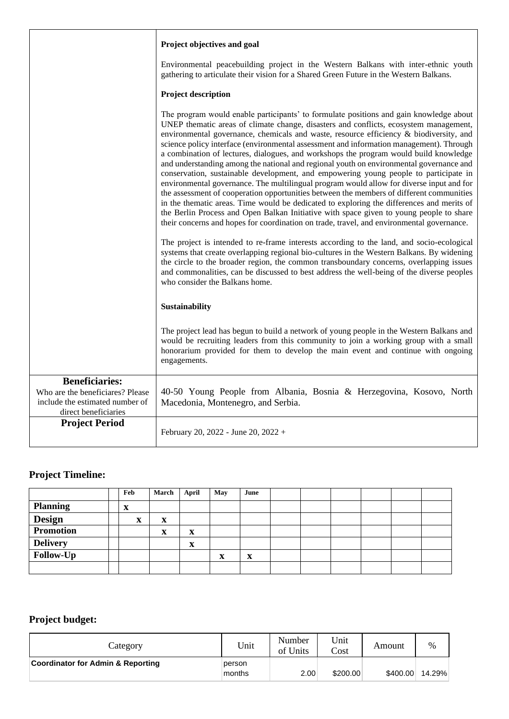|                                                                                                                      | Project objectives and goal                                                                                                                                                                                                                                                                                                                                                                                                                                                                                                                                                                                                                                                                                                                                                                                                                                                                                                                                                                                                                                                                                                   |  |  |  |  |  |  |
|----------------------------------------------------------------------------------------------------------------------|-------------------------------------------------------------------------------------------------------------------------------------------------------------------------------------------------------------------------------------------------------------------------------------------------------------------------------------------------------------------------------------------------------------------------------------------------------------------------------------------------------------------------------------------------------------------------------------------------------------------------------------------------------------------------------------------------------------------------------------------------------------------------------------------------------------------------------------------------------------------------------------------------------------------------------------------------------------------------------------------------------------------------------------------------------------------------------------------------------------------------------|--|--|--|--|--|--|
|                                                                                                                      | Environmental peacebuilding project in the Western Balkans with inter-ethnic youth<br>gathering to articulate their vision for a Shared Green Future in the Western Balkans.                                                                                                                                                                                                                                                                                                                                                                                                                                                                                                                                                                                                                                                                                                                                                                                                                                                                                                                                                  |  |  |  |  |  |  |
|                                                                                                                      | <b>Project description</b>                                                                                                                                                                                                                                                                                                                                                                                                                                                                                                                                                                                                                                                                                                                                                                                                                                                                                                                                                                                                                                                                                                    |  |  |  |  |  |  |
|                                                                                                                      | The program would enable participants' to formulate positions and gain knowledge about<br>UNEP thematic areas of climate change, disasters and conflicts, ecosystem management,<br>environmental governance, chemicals and waste, resource efficiency & biodiversity, and<br>science policy interface (environmental assessment and information management). Through<br>a combination of lectures, dialogues, and workshops the program would build knowledge<br>and understanding among the national and regional youth on environmental governance and<br>conservation, sustainable development, and empowering young people to participate in<br>environmental governance. The multilingual program would allow for diverse input and for<br>the assessment of cooperation opportunities between the members of different communities<br>in the thematic areas. Time would be dedicated to exploring the differences and merits of<br>the Berlin Process and Open Balkan Initiative with space given to young people to share<br>their concerns and hopes for coordination on trade, travel, and environmental governance. |  |  |  |  |  |  |
|                                                                                                                      | The project is intended to re-frame interests according to the land, and socio-ecological<br>systems that create overlapping regional bio-cultures in the Western Balkans. By widening<br>the circle to the broader region, the common transboundary concerns, overlapping issues<br>and commonalities, can be discussed to best address the well-being of the diverse peoples<br>who consider the Balkans home.                                                                                                                                                                                                                                                                                                                                                                                                                                                                                                                                                                                                                                                                                                              |  |  |  |  |  |  |
|                                                                                                                      | Sustainability                                                                                                                                                                                                                                                                                                                                                                                                                                                                                                                                                                                                                                                                                                                                                                                                                                                                                                                                                                                                                                                                                                                |  |  |  |  |  |  |
|                                                                                                                      | The project lead has begun to build a network of young people in the Western Balkans and<br>would be recruiting leaders from this community to join a working group with a small<br>honorarium provided for them to develop the main event and continue with ongoing<br>engagements.                                                                                                                                                                                                                                                                                                                                                                                                                                                                                                                                                                                                                                                                                                                                                                                                                                          |  |  |  |  |  |  |
| <b>Beneficiaries:</b><br>Who are the beneficiares? Please<br>include the estimated number of<br>direct beneficiaries | 40-50 Young People from Albania, Bosnia & Herzegovina, Kosovo, North<br>Macedonia, Montenegro, and Serbia.                                                                                                                                                                                                                                                                                                                                                                                                                                                                                                                                                                                                                                                                                                                                                                                                                                                                                                                                                                                                                    |  |  |  |  |  |  |
| <b>Project Period</b>                                                                                                | February 20, 2022 - June 20, 2022 +                                                                                                                                                                                                                                                                                                                                                                                                                                                                                                                                                                                                                                                                                                                                                                                                                                                                                                                                                                                                                                                                                           |  |  |  |  |  |  |

#### **Project Timeline:**

|                  | Feb    | March | April       | May | June             |  |  |  |
|------------------|--------|-------|-------------|-----|------------------|--|--|--|
| <b>Planning</b>  | X      |       |             |     |                  |  |  |  |
| <b>Design</b>    | w<br>A | X     |             |     |                  |  |  |  |
| <b>Promotion</b> |        | X     | X           |     |                  |  |  |  |
| <b>Delivery</b>  |        |       | $\mathbf x$ |     |                  |  |  |  |
| Follow-Up        |        |       |             | x   | $\mathbf v$<br>A |  |  |  |
|                  |        |       |             |     |                  |  |  |  |

#### **Project budget:**

| Category                          | Unit             | Number<br>of Units | Unit<br>Cost | Amount   | %      |
|-----------------------------------|------------------|--------------------|--------------|----------|--------|
| Coordinator for Admin & Reporting | person<br>months | 2.00               | \$200.00     | \$400.00 | 14.29% |